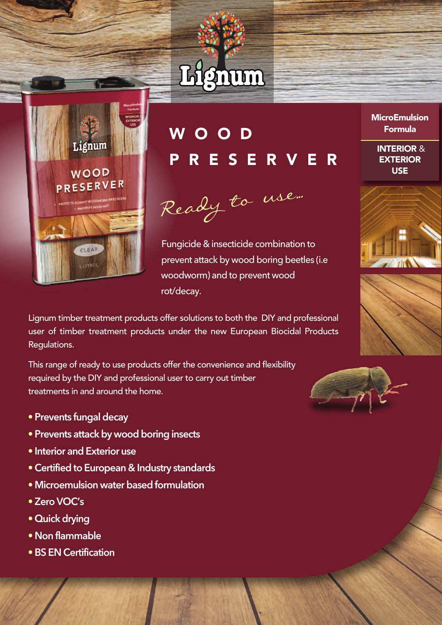



## W O O D R E S E R V E R

Ready to use...

Fungicide & insecticide combination to prevent attack by wood boring beetles (i.e woodworm) and to prevent wood rot/decay.

Lignum timber treatment products offer solutions to both the DIY and professional user of timber treatment products under the new European Biocidal Products Regulations.

This range of ready to use products offer the convenience and flexibility required by the DIY and professional user to carry out timber treatments in and around the home.

- **• Prevents fungal decay**
- **• Prevents attack by wood boring insects**
- **• Interior and Exterior use**
- **•Certified to European & Industry standards**
- **• Microemulsion water based formulation**
- **• ZeroVOC's**
- **• Quick drying**
- **• Non flammable**
- **•BS EN Certification**

**MicroEmulsion** Formula

> INTERIOR & **EXTERIOR** USE